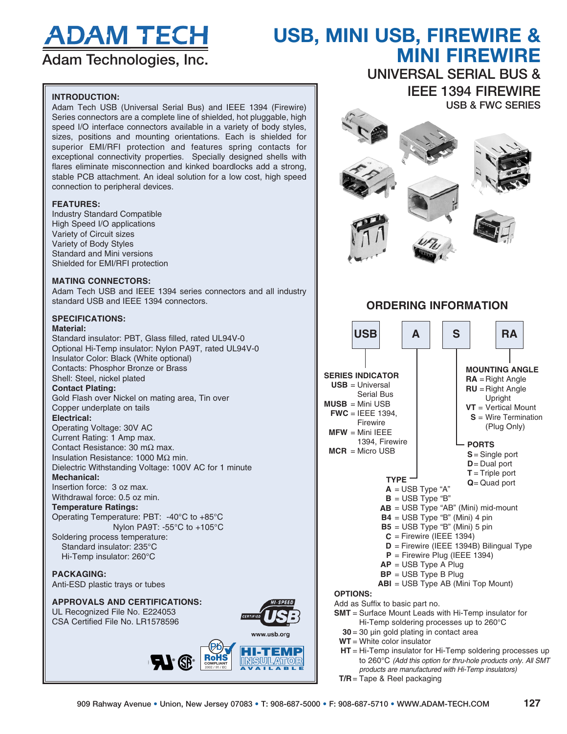# **ADAM TECH**

## $\overline{\mathsf{Adam}$  **Technologies**, Inc.

## **USB, MINI USB, FIREWIRE & MINI FIREWIRE**

### **INTRODUCTION:**

Adam Tech USB (Universal Serial Bus) and IEEE 1394 (Firewire) Series connectors are a complete line of shielded, hot pluggable, high speed I/O interface connectors available in a variety of body styles, sizes, positions and mounting orientations. Each is shielded for superior EMI/RFI protection and features spring contacts for exceptional connectivity properties. Specially designed shells with flares eliminate misconnection and kinked boardlocks add a strong, stable PCB attachment. An ideal solution for a low cost, high speed connection to peripheral devices.

#### **FEATURES:**

Industry Standard Compatible High Speed I/O applications Variety of Circuit sizes Variety of Body Styles Standard and Mini versions Shielded for EMI/RFI protection

#### **MATING CONNECTORS:**

Adam Tech USB and IEEE 1394 series connectors and all industry standard USB and IEEE 1394 connectors.

#### **SPECIFICATIONS: Material:**

Standard insulator: PBT, Glass filled, rated UL94V-0 Optional Hi-Temp insulator: Nylon PA9T, rated UL94V-0 Insulator Color: Black (White optional) Contacts: Phosphor Bronze or Brass Shell: Steel, nickel plated

#### **Contact Plating:**

Gold Flash over Nickel on mating area, Tin over Copper underplate on tails

#### **Electrical:**

Operating Voltage: 30V AC Current Rating: 1 Amp max. Contact Resistance: 30 mΩ max. Insulation Resistance: 1000 MΩ min. Dielectric Withstanding Voltage: 100V AC for 1 minute **Mechanical:** Insertion force: 3 oz max. Withdrawal force: 0.5 oz min.

### **Temperature Ratings:**

Operating Temperature: PBT: -40°C to +85°C Nylon PA9T: -55°C to +105°C

Soldering process temperature: Standard insulator: 235°C Hi-Temp insulator: 260°C

**PACKAGING:** Anti-ESD plastic trays or tubes

#### **APPROVALS AND CERTIFICATIONS:**

UL Recognized File No. E224053 CSA Certified File No. LR1578596





UNIVERSAL SERIAL BUS & IEEE 1394 FIREWIRE

USB & FWC SERIES



### **ORDERING INFORMATION**

|                                                                                                                                                                                                                                                                                                                                            | <b>USB</b>                                                                                                                                                                                                                                                     |  | A |                                                                                                                                                                                                                                                                   |  |  |                                                                                               |  |  |                                                                |
|--------------------------------------------------------------------------------------------------------------------------------------------------------------------------------------------------------------------------------------------------------------------------------------------------------------------------------------------|----------------------------------------------------------------------------------------------------------------------------------------------------------------------------------------------------------------------------------------------------------------|--|---|-------------------------------------------------------------------------------------------------------------------------------------------------------------------------------------------------------------------------------------------------------------------|--|--|-----------------------------------------------------------------------------------------------|--|--|----------------------------------------------------------------|
| <b>SERIES INDICATOR</b><br>$USE = Universal$<br><b>Serial Bus</b><br>$MUSE = Mini USB$<br>$FWC = IEEE 1394,$<br>Firewire<br>$MFW = Mini IEEE$<br>1394, Firewire<br>$MCR = Micro USB$<br><b>TYPE</b><br>$A = USB$ Type "A"                                                                                                                  |                                                                                                                                                                                                                                                                |  |   | S<br><b>RA</b><br><b>MOUNTING ANGLE</b><br>$RA = Right Angle$<br>$RU =$ Right Angle<br>Upright<br>$VT = Vertical Mount$<br>$S =$ Wire Termination<br>(Plug Only)<br><b>PORTS</b><br>$S =$ Single port<br>$D = Dual$ port<br>$T =$ Triple port<br>$Q = Q$ uad port |  |  |                                                                                               |  |  |                                                                |
| $B = USB$ Type "B"<br>AB = USB Type "AB" (Mini) mid-mount<br>$B4 = USB$ Type "B" (Mini) 4 pin<br>$B5 = USB$ Type "B" (Mini) 5 pin<br>$C =$ Firewire (IEEE 1394)<br>$D =$ Firewire (IEEE 1394B) Bilingual Type<br>$P =$ Firewire Plug (IEEE 1394)<br>$AP = USB$ Type A Plug<br>$BP = USB$ Type B Plug<br>ABI = USB Type AB (Mini Top Mount) |                                                                                                                                                                                                                                                                |  |   |                                                                                                                                                                                                                                                                   |  |  |                                                                                               |  |  |                                                                |
|                                                                                                                                                                                                                                                                                                                                            | <b>OPTIONS:</b><br>Add as Suffix to basic part no.<br><b>SMT</b> = Surface Mount Leads with Hi-Temp insulator for<br>$30 = 30$ µin gold plating in contact area<br>$WT = White color insulator$<br>$HT = Hi-Temp$ insulator for Hi-Temp soldering processes up |  |   |                                                                                                                                                                                                                                                                   |  |  | Hi-Temp soldering processes up to 260°C<br>products are manufactured with Hi-Temp insulators) |  |  | to 260°C (Add this option for thru-hole products only. All SMT |

**T/R**= Tape & Reel packaging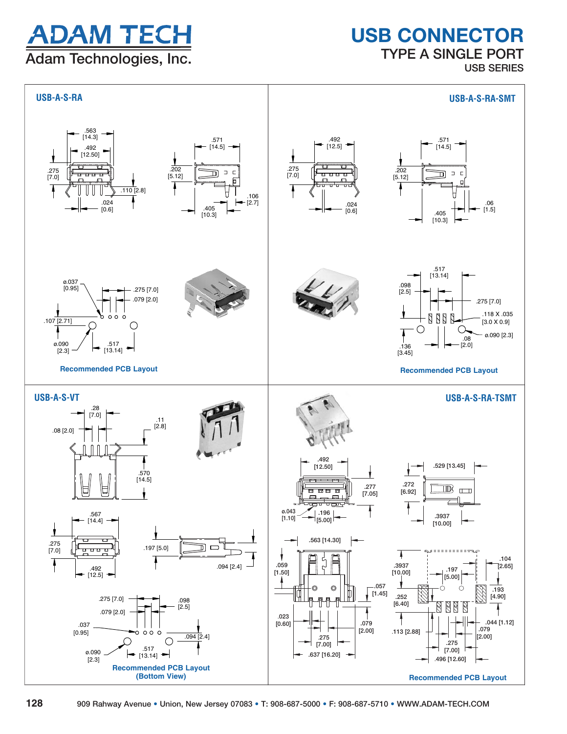DAM TECH **Adam Technologies, Inc.** 

### **USB CONNECTOR** TYPE A SINGLE PORT USB SERIES

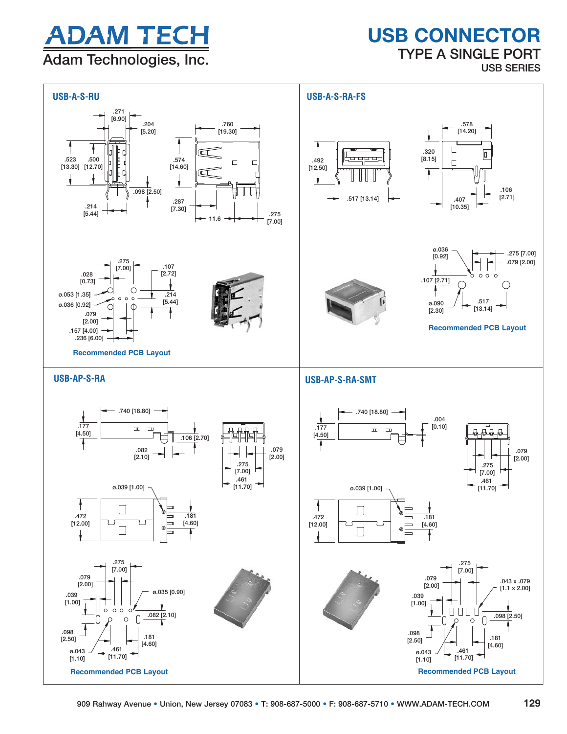## <u>ADAM TECH</u> **Adam Technologies, Inc.**

## **USB CONNECTOR** TYPE A SINGLE PORT

USB SERIES

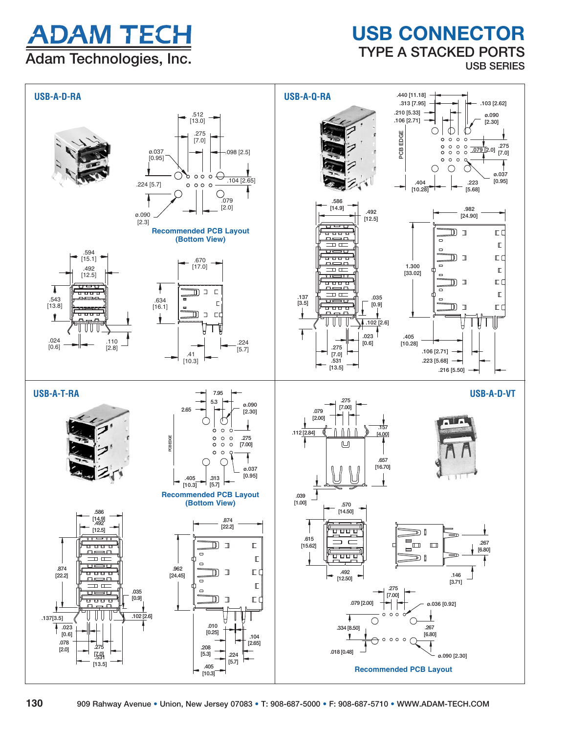## Adam Technologies, Inc. DAM TECH

### **USB CONNECTOR** TYPE A STACKED PORTS USB SERIES

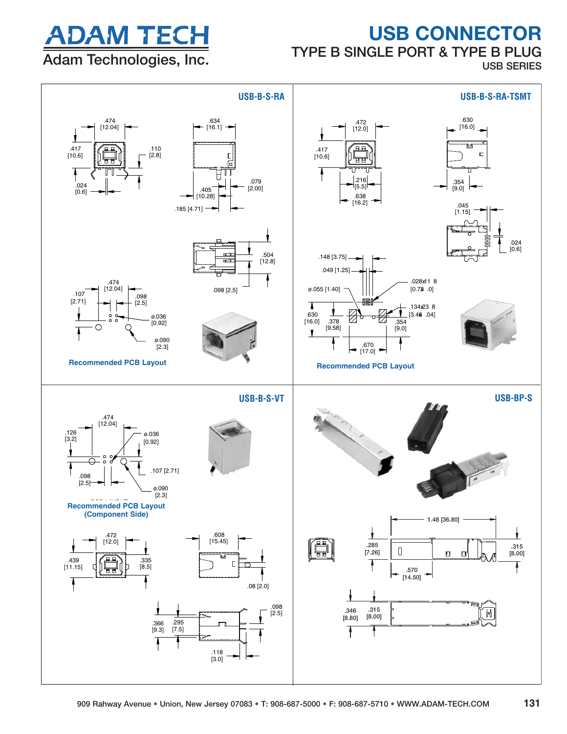## **USB CONNECTOR** TYPE B SINGLE PORT & TYPE B PLUG



USB SERIES

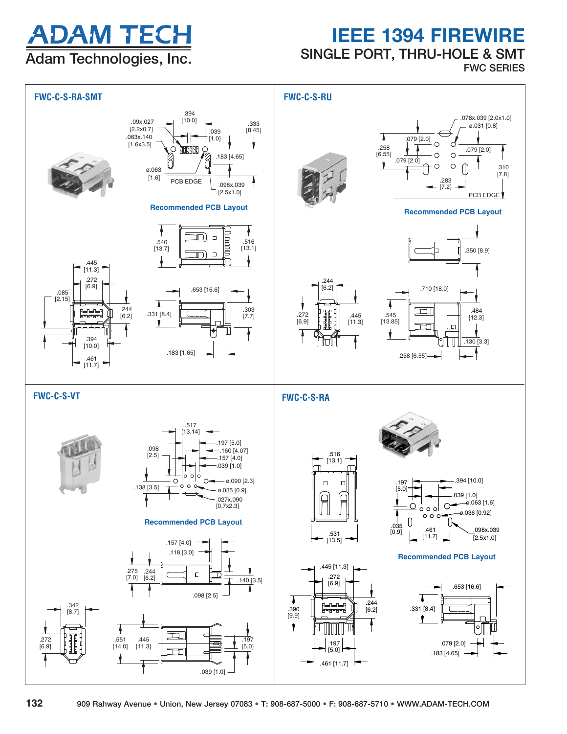## **DAM TECH** Adam Technologies, Inc.

### **IEEE 1394 FIREWIRE** SINGLE PORT, THRU-HOLE & SMT FWC SERIES

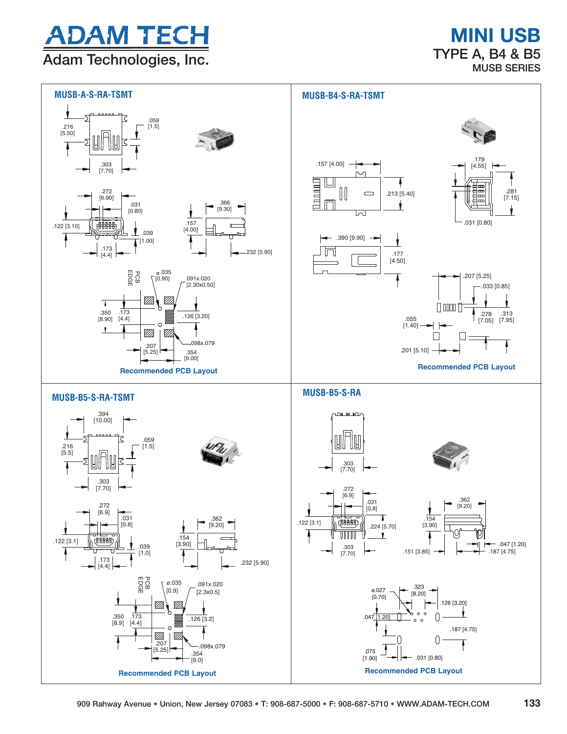## <u>DAM TECH</u>  $\overline{\overline{\text{Adam Technology}}}, \overline{\text{Inc}}.$

**MINI USB**  TYPE A, B4 & B5 MUSB SERIES